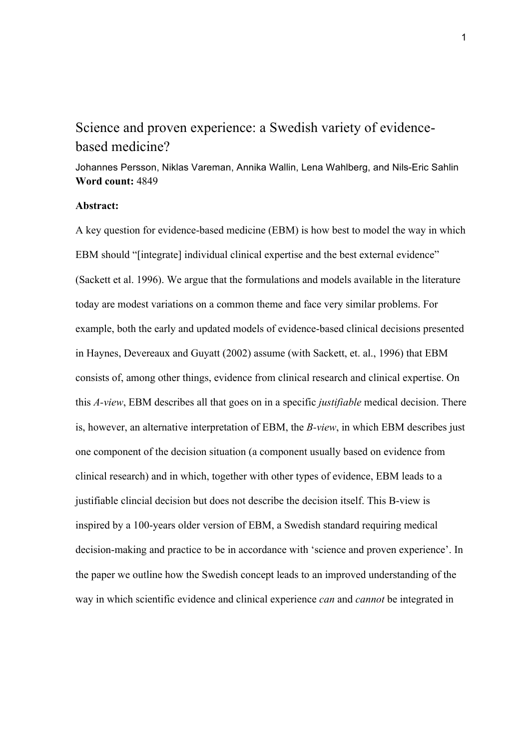# Science and proven experience: a Swedish variety of evidencebased medicine?

Johannes Persson, Niklas Vareman, Annika Wallin, Lena Wahlberg, and Nils-Eric Sahlin **Word count:** 4849

#### **Abstract:**

A key question for evidence-based medicine (EBM) is how best to model the way in which EBM should "[integrate] individual clinical expertise and the best external evidence" (Sackett et al. 1996). We argue that the formulations and models available in the literature today are modest variations on a common theme and face very similar problems. For example, both the early and updated models of evidence-based clinical decisions presented in Haynes, Devereaux and Guyatt (2002) assume (with Sackett, et. al., 1996) that EBM consists of, among other things, evidence from clinical research and clinical expertise. On this *A-view*, EBM describes all that goes on in a specific *justifiable* medical decision. There is, however, an alternative interpretation of EBM, the *B-view*, in which EBM describes just one component of the decision situation (a component usually based on evidence from clinical research) and in which, together with other types of evidence, EBM leads to a justifiable clincial decision but does not describe the decision itself. This B-view is inspired by a 100-years older version of EBM, a Swedish standard requiring medical decision-making and practice to be in accordance with 'science and proven experience'. In the paper we outline how the Swedish concept leads to an improved understanding of the way in which scientific evidence and clinical experience *can* and *cannot* be integrated in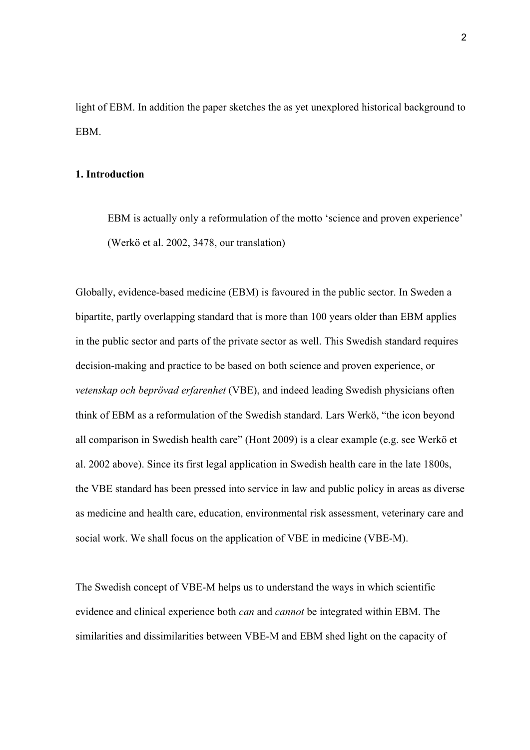light of EBM. In addition the paper sketches the as yet unexplored historical background to EBM.

#### **1. Introduction**

EBM is actually only a reformulation of the motto 'science and proven experience' (Werkö et al. 2002, 3478, our translation)

Globally, evidence-based medicine (EBM) is favoured in the public sector. In Sweden a bipartite, partly overlapping standard that is more than 100 years older than EBM applies in the public sector and parts of the private sector as well. This Swedish standard requires decision-making and practice to be based on both science and proven experience, or *vetenskap och beprövad erfarenhet* (VBE), and indeed leading Swedish physicians often think of EBM as a reformulation of the Swedish standard. Lars Werkö, "the icon beyond all comparison in Swedish health care" (Hont 2009) is a clear example (e.g. see Werkö et al. 2002 above). Since its first legal application in Swedish health care in the late 1800s, the VBE standard has been pressed into service in law and public policy in areas as diverse as medicine and health care, education, environmental risk assessment, veterinary care and social work. We shall focus on the application of VBE in medicine (VBE-M).

The Swedish concept of VBE-M helps us to understand the ways in which scientific evidence and clinical experience both *can* and *cannot* be integrated within EBM. The similarities and dissimilarities between VBE-M and EBM shed light on the capacity of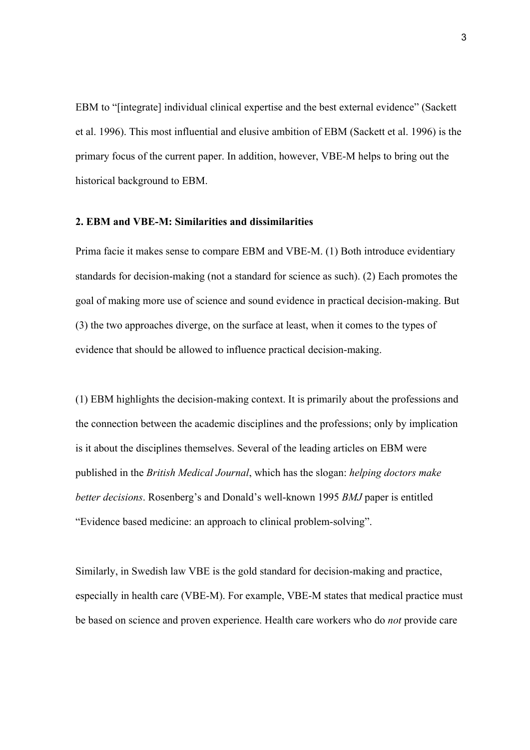EBM to "[integrate] individual clinical expertise and the best external evidence" (Sackett et al. 1996). This most influential and elusive ambition of EBM (Sackett et al. 1996) is the primary focus of the current paper. In addition, however, VBE-M helps to bring out the historical background to EBM.

#### **2. EBM and VBE-M: Similarities and dissimilarities**

Prima facie it makes sense to compare EBM and VBE-M. (1) Both introduce evidentiary standards for decision-making (not a standard for science as such). (2) Each promotes the goal of making more use of science and sound evidence in practical decision-making. But (3) the two approaches diverge, on the surface at least, when it comes to the types of evidence that should be allowed to influence practical decision-making.

(1) EBM highlights the decision-making context. It is primarily about the professions and the connection between the academic disciplines and the professions; only by implication is it about the disciplines themselves. Several of the leading articles on EBM were published in the *British Medical Journal*, which has the slogan: *helping doctors make better decisions*. Rosenberg's and Donald's well-known 1995 *BMJ* paper is entitled "Evidence based medicine: an approach to clinical problem-solving".

Similarly, in Swedish law VBE is the gold standard for decision-making and practice, especially in health care (VBE-M). For example, VBE-M states that medical practice must be based on science and proven experience. Health care workers who do *not* provide care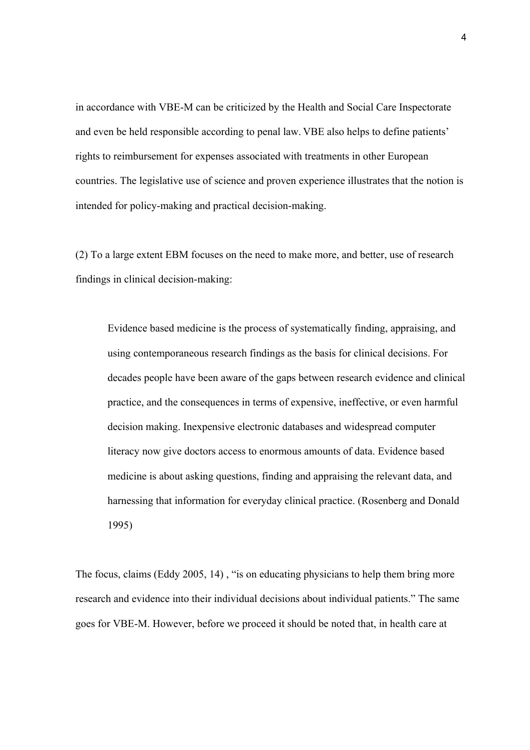in accordance with VBE-M can be criticized by the Health and Social Care Inspectorate and even be held responsible according to penal law. VBE also helps to define patients' rights to reimbursement for expenses associated with treatments in other European countries. The legislative use of science and proven experience illustrates that the notion is intended for policy-making and practical decision-making.

(2) To a large extent EBM focuses on the need to make more, and better, use of research findings in clinical decision-making:

Evidence based medicine is the process of systematically finding, appraising, and using contemporaneous research findings as the basis for clinical decisions. For decades people have been aware of the gaps between research evidence and clinical practice, and the consequences in terms of expensive, ineffective, or even harmful decision making. Inexpensive electronic databases and widespread computer literacy now give doctors access to enormous amounts of data. Evidence based medicine is about asking questions, finding and appraising the relevant data, and harnessing that information for everyday clinical practice. (Rosenberg and Donald 1995)

The focus, claims (Eddy 2005, 14) , "is on educating physicians to help them bring more research and evidence into their individual decisions about individual patients." The same goes for VBE-M. However, before we proceed it should be noted that, in health care at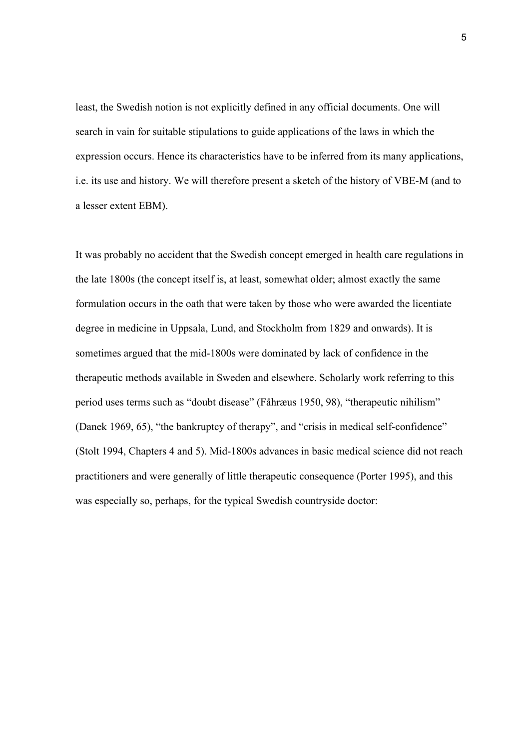least, the Swedish notion is not explicitly defined in any official documents. One will search in vain for suitable stipulations to guide applications of the laws in which the expression occurs. Hence its characteristics have to be inferred from its many applications, i.e. its use and history. We will therefore present a sketch of the history of VBE-M (and to a lesser extent EBM).

It was probably no accident that the Swedish concept emerged in health care regulations in the late 1800s (the concept itself is, at least, somewhat older; almost exactly the same formulation occurs in the oath that were taken by those who were awarded the licentiate degree in medicine in Uppsala, Lund, and Stockholm from 1829 and onwards). It is sometimes argued that the mid-1800s were dominated by lack of confidence in the therapeutic methods available in Sweden and elsewhere. Scholarly work referring to this period uses terms such as "doubt disease" (Fåhræus 1950, 98), "therapeutic nihilism" (Danek 1969, 65), "the bankruptcy of therapy", and "crisis in medical self-confidence" (Stolt 1994, Chapters 4 and 5). Mid-1800s advances in basic medical science did not reach practitioners and were generally of little therapeutic consequence (Porter 1995), and this was especially so, perhaps, for the typical Swedish countryside doctor: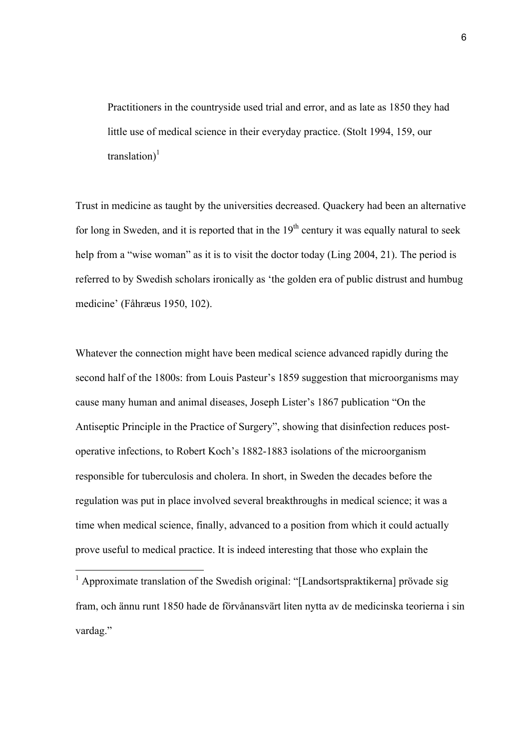Practitioners in the countryside used trial and error, and as late as 1850 they had little use of medical science in their everyday practice. (Stolt 1994, 159, our translation) $<sup>1</sup>$ </sup>

Trust in medicine as taught by the universities decreased. Quackery had been an alternative for long in Sweden, and it is reported that in the  $19<sup>th</sup>$  century it was equally natural to seek help from a "wise woman" as it is to visit the doctor today (Ling 2004, 21). The period is referred to by Swedish scholars ironically as 'the golden era of public distrust and humbug medicine' (Fåhræus 1950, 102).

Whatever the connection might have been medical science advanced rapidly during the second half of the 1800s: from Louis Pasteur's 1859 suggestion that microorganisms may cause many human and animal diseases, Joseph Lister's 1867 publication "On the Antiseptic Principle in the Practice of Surgery", showing that disinfection reduces postoperative infections, to Robert Koch's 1882-1883 isolations of the microorganism responsible for tuberculosis and cholera. In short, in Sweden the decades before the regulation was put in place involved several breakthroughs in medical science; it was a time when medical science, finally, advanced to a position from which it could actually prove useful to medical practice. It is indeed interesting that those who explain the

 $<sup>1</sup>$  Approximate translation of the Swedish original: "[Landsortspraktikerna] prövade sig</sup> fram, och ännu runt 1850 hade de förvånansvärt liten nytta av de medicinska teorierna i sin vardag."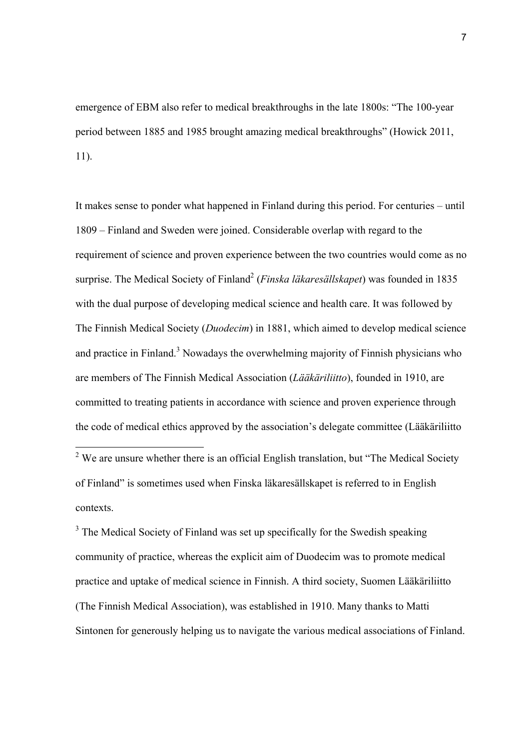emergence of EBM also refer to medical breakthroughs in the late 1800s: "The 100-year period between 1885 and 1985 brought amazing medical breakthroughs" (Howick 2011, 11).

It makes sense to ponder what happened in Finland during this period. For centuries – until 1809 – Finland and Sweden were joined. Considerable overlap with regard to the requirement of science and proven experience between the two countries would come as no surprise. The Medical Society of Finland<sup>2</sup> (*Finska läkaresällskapet*) was founded in 1835 with the dual purpose of developing medical science and health care. It was followed by The Finnish Medical Society (*Duodecim*) in 1881, which aimed to develop medical science and practice in Finland.<sup>3</sup> Nowadays the overwhelming majority of Finnish physicians who are members of The Finnish Medical Association (*Lääkäriliitto*), founded in 1910, are committed to treating patients in accordance with science and proven experience through the code of medical ethics approved by the association's delegate committee (Lääkäriliitto

 $3$  The Medical Society of Finland was set up specifically for the Swedish speaking community of practice, whereas the explicit aim of Duodecim was to promote medical practice and uptake of medical science in Finnish. A third society, Suomen Lääkäriliitto (The Finnish Medical Association), was established in 1910. Many thanks to Matti Sintonen for generously helping us to navigate the various medical associations of Finland.

7

<sup>&</sup>lt;sup>2</sup> We are unsure whether there is an official English translation, but "The Medical Society" of Finland" is sometimes used when Finska läkaresällskapet is referred to in English contexts.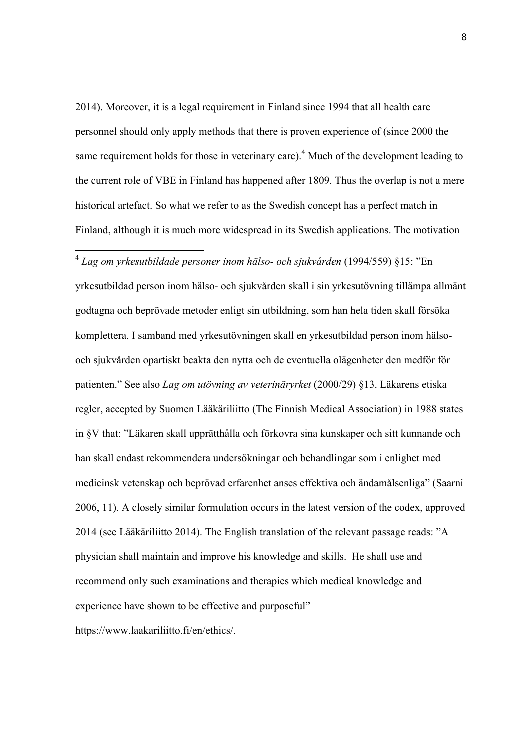2014). Moreover, it is a legal requirement in Finland since 1994 that all health care personnel should only apply methods that there is proven experience of (since 2000 the same requirement holds for those in veterinary care).<sup>4</sup> Much of the development leading to the current role of VBE in Finland has happened after 1809. Thus the overlap is not a mere historical artefact. So what we refer to as the Swedish concept has a perfect match in Finland, although it is much more widespread in its Swedish applications. The motivation

## <sup>4</sup> *Lag om yrkesutbildade personer inom hälso- och sjukvården* (1994/559) §15: "En

yrkesutbildad person inom hälso- och sjukvården skall i sin yrkesutövning tillämpa allmänt godtagna och beprövade metoder enligt sin utbildning, som han hela tiden skall försöka komplettera. I samband med yrkesutövningen skall en yrkesutbildad person inom hälsooch sjukvården opartiskt beakta den nytta och de eventuella olägenheter den medför för patienten." See also *Lag om utövning av veterinäryrket* (2000/29) §13. Läkarens etiska regler, accepted by Suomen Lääkäriliitto (The Finnish Medical Association) in 1988 states in §V that: "Läkaren skall upprätthålla och förkovra sina kunskaper och sitt kunnande och han skall endast rekommendera undersökningar och behandlingar som i enlighet med medicinsk vetenskap och beprövad erfarenhet anses effektiva och ändamålsenliga" (Saarni 2006, 11). A closely similar formulation occurs in the latest version of the codex, approved 2014 (see Lääkäriliitto 2014). The English translation of the relevant passage reads: "A physician shall maintain and improve his knowledge and skills. He shall use and recommend only such examinations and therapies which medical knowledge and experience have shown to be effective and purposeful"

https://www.laakariliitto.fi/en/ethics/.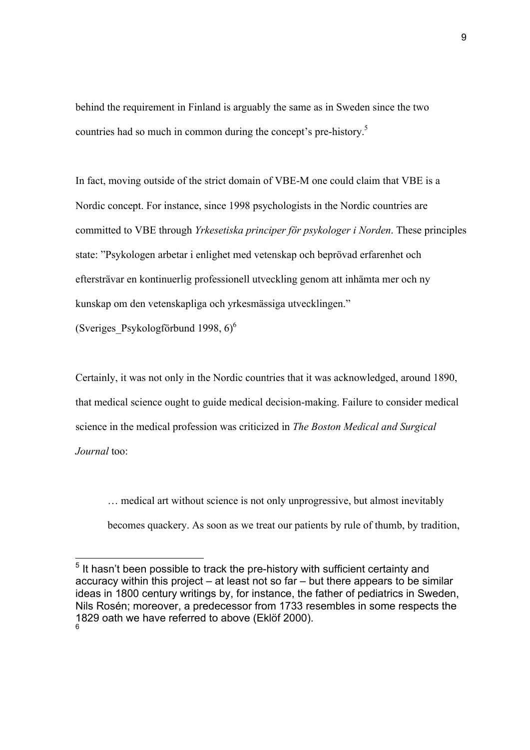behind the requirement in Finland is arguably the same as in Sweden since the two countries had so much in common during the concept's pre-history. 5

In fact, moving outside of the strict domain of VBE-M one could claim that VBE is a Nordic concept. For instance, since 1998 psychologists in the Nordic countries are committed to VBE through *Yrkesetiska principer för psykologer i Norden*. These principles state: "Psykologen arbetar i enlighet med vetenskap och beprövad erfarenhet och eftersträvar en kontinuerlig professionell utveckling genom att inhämta mer och ny kunskap om den vetenskapliga och yrkesmässiga utvecklingen."

(Sveriges Psykologförbund 1998,  $6$ )<sup>6</sup>

Certainly, it was not only in the Nordic countries that it was acknowledged, around 1890, that medical science ought to guide medical decision-making. Failure to consider medical science in the medical profession was criticized in *The Boston Medical and Surgical Journal* too:

… medical art without science is not only unprogressive, but almost inevitably

becomes quackery. As soon as we treat our patients by rule of thumb, by tradition,

 $5$  It hasn't been possible to track the pre-history with sufficient certainty and accuracy within this project – at least not so far – but there appears to be similar ideas in 1800 century writings by, for instance, the father of pediatrics in Sweden, Nils Rosén; moreover, a predecessor from 1733 resembles in some respects the 1829 oath we have referred to above (Eklöf 2000).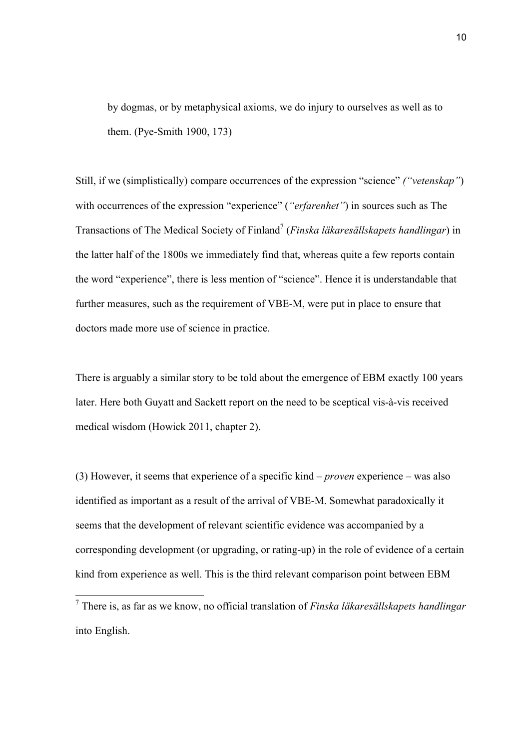by dogmas, or by metaphysical axioms, we do injury to ourselves as well as to them. (Pye-Smith 1900, 173)

Still, if we (simplistically) compare occurrences of the expression "science" *("vetenskap"*) with occurrences of the expression "experience" (*"erfarenhet"*) in sources such as The Transactions of The Medical Society of Finland7 (*Finska läkaresällskapets handlingar*) in the latter half of the 1800s we immediately find that, whereas quite a few reports contain the word "experience", there is less mention of "science". Hence it is understandable that further measures, such as the requirement of VBE-M, were put in place to ensure that doctors made more use of science in practice.

There is arguably a similar story to be told about the emergence of EBM exactly 100 years later. Here both Guyatt and Sackett report on the need to be sceptical vis-à-vis received medical wisdom (Howick 2011, chapter 2).

(3) However, it seems that experience of a specific kind – *proven* experience – was also identified as important as a result of the arrival of VBE-M. Somewhat paradoxically it seems that the development of relevant scientific evidence was accompanied by a corresponding development (or upgrading, or rating-up) in the role of evidence of a certain kind from experience as well. This is the third relevant comparison point between EBM

<sup>7</sup> There is, as far as we know, no official translation of *Finska läkaresällskapets handlingar* into English.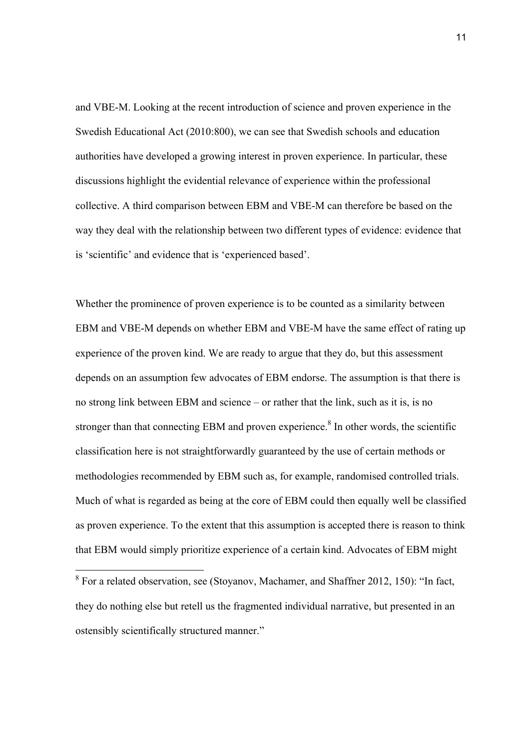and VBE-M. Looking at the recent introduction of science and proven experience in the Swedish Educational Act (2010:800), we can see that Swedish schools and education authorities have developed a growing interest in proven experience. In particular, these discussions highlight the evidential relevance of experience within the professional collective. A third comparison between EBM and VBE-M can therefore be based on the way they deal with the relationship between two different types of evidence: evidence that is 'scientific' and evidence that is 'experienced based'.

Whether the prominence of proven experience is to be counted as a similarity between EBM and VBE-M depends on whether EBM and VBE-M have the same effect of rating up experience of the proven kind. We are ready to argue that they do, but this assessment depends on an assumption few advocates of EBM endorse. The assumption is that there is no strong link between EBM and science – or rather that the link, such as it is, is no stronger than that connecting EBM and proven experience.<sup>8</sup> In other words, the scientific classification here is not straightforwardly guaranteed by the use of certain methods or methodologies recommended by EBM such as, for example, randomised controlled trials. Much of what is regarded as being at the core of EBM could then equally well be classified as proven experience. To the extent that this assumption is accepted there is reason to think that EBM would simply prioritize experience of a certain kind. Advocates of EBM might

<sup>8</sup> For a related observation, see (Stoyanov, Machamer, and Shaffner 2012, 150): "In fact, they do nothing else but retell us the fragmented individual narrative, but presented in an ostensibly scientifically structured manner."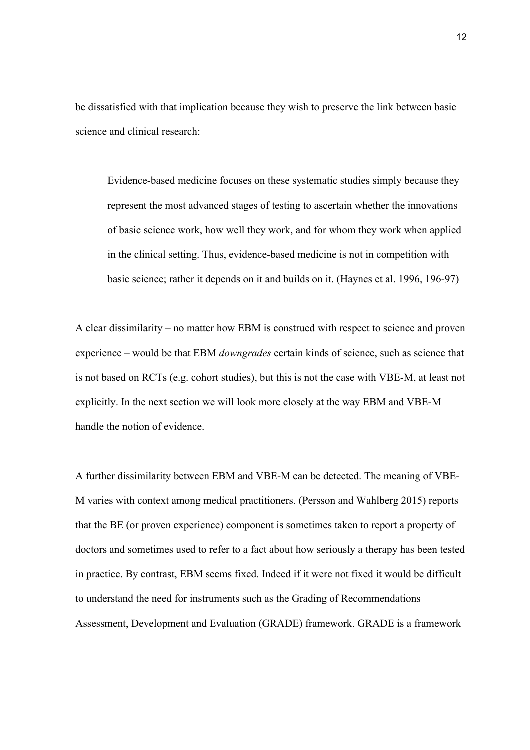be dissatisfied with that implication because they wish to preserve the link between basic science and clinical research:

Evidence-based medicine focuses on these systematic studies simply because they represent the most advanced stages of testing to ascertain whether the innovations of basic science work, how well they work, and for whom they work when applied in the clinical setting. Thus, evidence-based medicine is not in competition with basic science; rather it depends on it and builds on it. (Haynes et al. 1996, 196-97)

A clear dissimilarity – no matter how EBM is construed with respect to science and proven experience – would be that EBM *downgrades* certain kinds of science, such as science that is not based on RCTs (e.g. cohort studies), but this is not the case with VBE-M, at least not explicitly. In the next section we will look more closely at the way EBM and VBE-M handle the notion of evidence.

A further dissimilarity between EBM and VBE-M can be detected. The meaning of VBE-M varies with context among medical practitioners. (Persson and Wahlberg 2015) reports that the BE (or proven experience) component is sometimes taken to report a property of doctors and sometimes used to refer to a fact about how seriously a therapy has been tested in practice. By contrast, EBM seems fixed. Indeed if it were not fixed it would be difficult to understand the need for instruments such as the Grading of Recommendations Assessment, Development and Evaluation (GRADE) framework. GRADE is a framework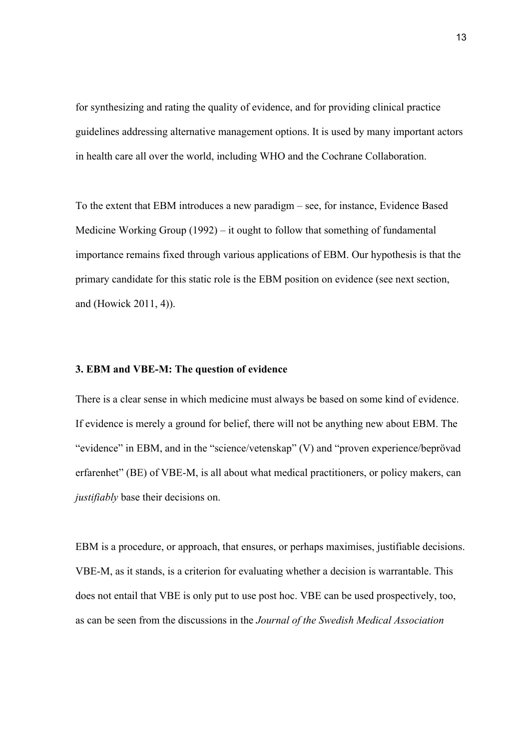for synthesizing and rating the quality of evidence, and for providing clinical practice guidelines addressing alternative management options. It is used by many important actors in health care all over the world, including WHO and the Cochrane Collaboration.

To the extent that EBM introduces a new paradigm – see, for instance, Evidence Based Medicine Working Group (1992) – it ought to follow that something of fundamental importance remains fixed through various applications of EBM. Our hypothesis is that the primary candidate for this static role is the EBM position on evidence (see next section, and (Howick 2011, 4)).

#### **3. EBM and VBE-M: The question of evidence**

There is a clear sense in which medicine must always be based on some kind of evidence. If evidence is merely a ground for belief, there will not be anything new about EBM. The "evidence" in EBM, and in the "science/vetenskap" (V) and "proven experience/beprövad erfarenhet" (BE) of VBE-M, is all about what medical practitioners, or policy makers, can *justifiably* base their decisions on.

EBM is a procedure, or approach, that ensures, or perhaps maximises, justifiable decisions. VBE-M, as it stands, is a criterion for evaluating whether a decision is warrantable. This does not entail that VBE is only put to use post hoc. VBE can be used prospectively, too, as can be seen from the discussions in the *Journal of the Swedish Medical Association*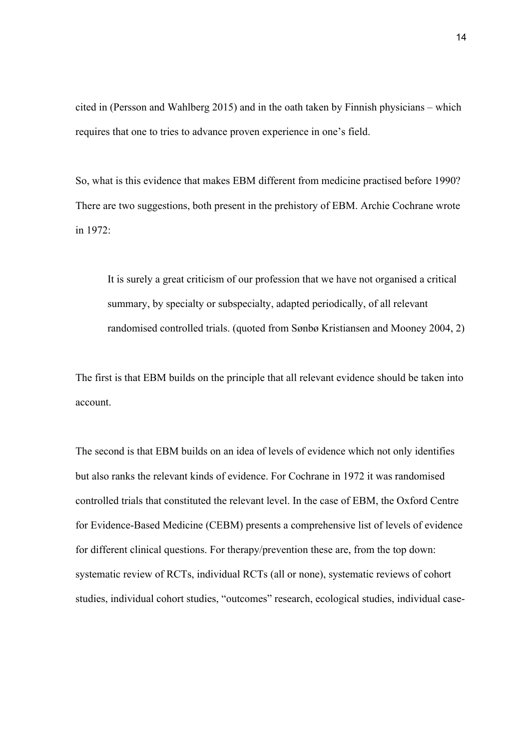cited in (Persson and Wahlberg 2015) and in the oath taken by Finnish physicians – which requires that one to tries to advance proven experience in one's field.

So, what is this evidence that makes EBM different from medicine practised before 1990? There are two suggestions, both present in the prehistory of EBM. Archie Cochrane wrote in 1972:

It is surely a great criticism of our profession that we have not organised a critical summary, by specialty or subspecialty, adapted periodically, of all relevant randomised controlled trials. (quoted from Sønbø Kristiansen and Mooney 2004, 2)

The first is that EBM builds on the principle that all relevant evidence should be taken into account.

The second is that EBM builds on an idea of levels of evidence which not only identifies but also ranks the relevant kinds of evidence. For Cochrane in 1972 it was randomised controlled trials that constituted the relevant level. In the case of EBM, the Oxford Centre for Evidence-Based Medicine (CEBM) presents a comprehensive list of levels of evidence for different clinical questions. For therapy/prevention these are, from the top down: systematic review of RCTs, individual RCTs (all or none), systematic reviews of cohort studies, individual cohort studies, "outcomes" research, ecological studies, individual case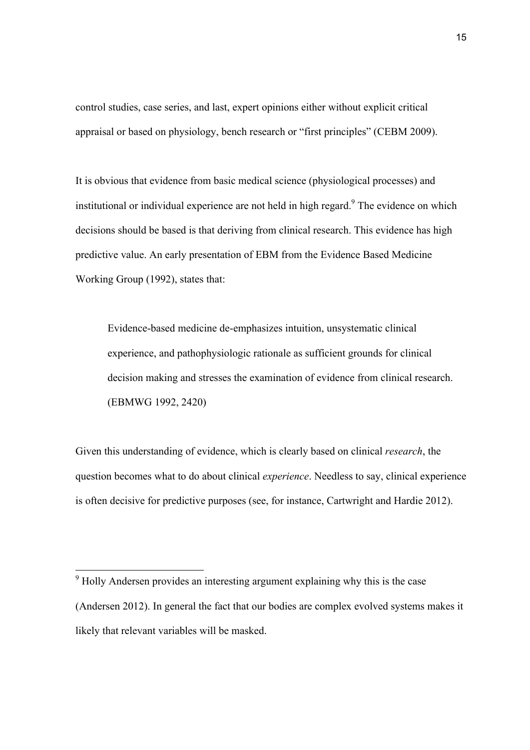control studies, case series, and last, expert opinions either without explicit critical appraisal or based on physiology, bench research or "first principles" (CEBM 2009).

It is obvious that evidence from basic medical science (physiological processes) and institutional or individual experience are not held in high regard.<sup>9</sup> The evidence on which decisions should be based is that deriving from clinical research. This evidence has high predictive value. An early presentation of EBM from the Evidence Based Medicine Working Group (1992), states that:

Evidence-based medicine de-emphasizes intuition, unsystematic clinical experience, and pathophysiologic rationale as sufficient grounds for clinical decision making and stresses the examination of evidence from clinical research. (EBMWG 1992, 2420)

Given this understanding of evidence, which is clearly based on clinical *research*, the question becomes what to do about clinical *experience*. Needless to say, clinical experience is often decisive for predictive purposes (see, for instance, Cartwright and Hardie 2012).

<sup>&</sup>lt;sup>9</sup> Holly Andersen provides an interesting argument explaining why this is the case (Andersen 2012). In general the fact that our bodies are complex evolved systems makes it likely that relevant variables will be masked.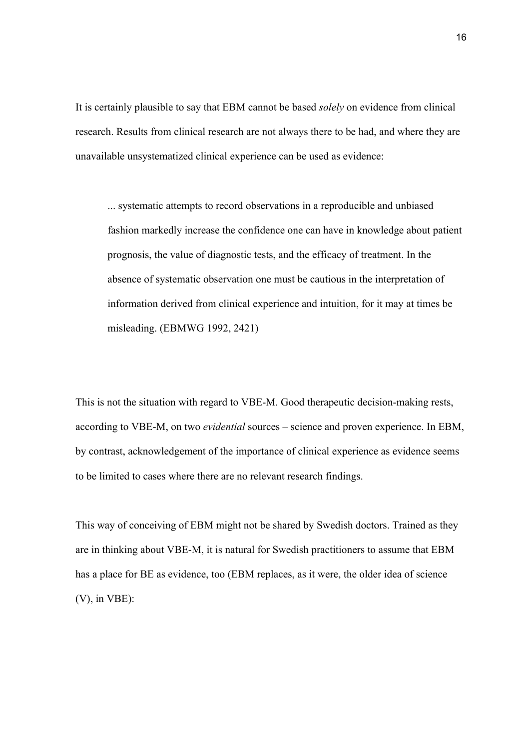It is certainly plausible to say that EBM cannot be based *solely* on evidence from clinical research. Results from clinical research are not always there to be had, and where they are unavailable unsystematized clinical experience can be used as evidence:

... systematic attempts to record observations in a reproducible and unbiased fashion markedly increase the confidence one can have in knowledge about patient prognosis, the value of diagnostic tests, and the efficacy of treatment. In the absence of systematic observation one must be cautious in the interpretation of information derived from clinical experience and intuition, for it may at times be misleading. (EBMWG 1992, 2421)

This is not the situation with regard to VBE-M. Good therapeutic decision-making rests, according to VBE-M, on two *evidential* sources – science and proven experience. In EBM, by contrast, acknowledgement of the importance of clinical experience as evidence seems to be limited to cases where there are no relevant research findings.

This way of conceiving of EBM might not be shared by Swedish doctors. Trained as they are in thinking about VBE-M, it is natural for Swedish practitioners to assume that EBM has a place for BE as evidence, too (EBM replaces, as it were, the older idea of science (V), in VBE):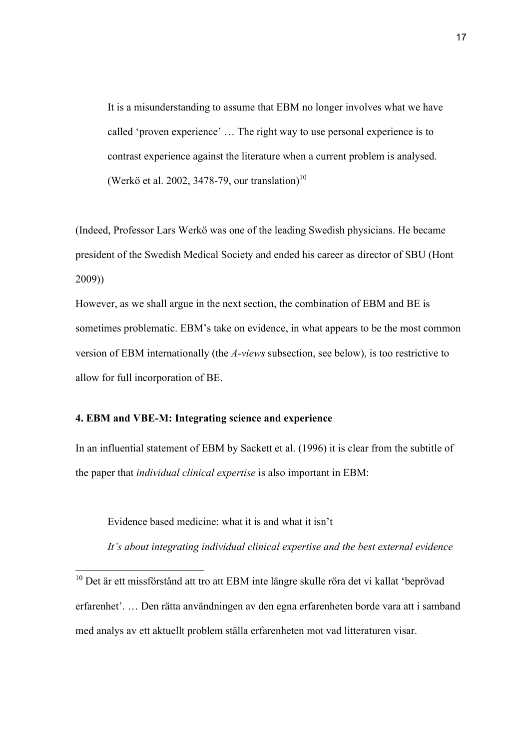It is a misunderstanding to assume that EBM no longer involves what we have called 'proven experience' … The right way to use personal experience is to contrast experience against the literature when a current problem is analysed. (Werkö et al. 2002, 3478-79, our translation)<sup>10</sup>

(Indeed, Professor Lars Werkö was one of the leading Swedish physicians. He became president of the Swedish Medical Society and ended his career as director of SBU (Hont 2009))

However, as we shall argue in the next section, the combination of EBM and BE is sometimes problematic. EBM's take on evidence, in what appears to be the most common version of EBM internationally (the *A-views* subsection, see below), is too restrictive to allow for full incorporation of BE.

#### **4. EBM and VBE-M: Integrating science and experience**

In an influential statement of EBM by Sackett et al. (1996) it is clear from the subtitle of the paper that *individual clinical expertise* is also important in EBM:

Evidence based medicine: what it is and what it isn't

*It's about integrating individual clinical expertise and the best external evidence*

<sup>10</sup> Det är ett missförstånd att tro att EBM inte längre skulle röra det vi kallat 'beprövad erfarenhet'. … Den rätta användningen av den egna erfarenheten borde vara att i samband med analys av ett aktuellt problem ställa erfarenheten mot vad litteraturen visar.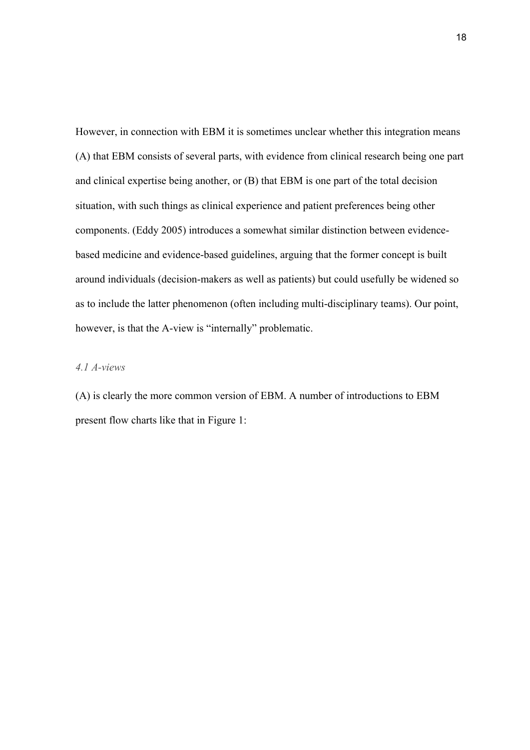However, in connection with EBM it is sometimes unclear whether this integration means (A) that EBM consists of several parts, with evidence from clinical research being one part and clinical expertise being another, or (B) that EBM is one part of the total decision situation, with such things as clinical experience and patient preferences being other components. (Eddy 2005) introduces a somewhat similar distinction between evidencebased medicine and evidence-based guidelines, arguing that the former concept is built around individuals (decision-makers as well as patients) but could usefully be widened so as to include the latter phenomenon (often including multi-disciplinary teams). Our point, however, is that the A-view is "internally" problematic.

### *4.1 A-views*

(A) is clearly the more common version of EBM. A number of introductions to EBM present flow charts like that in Figure 1: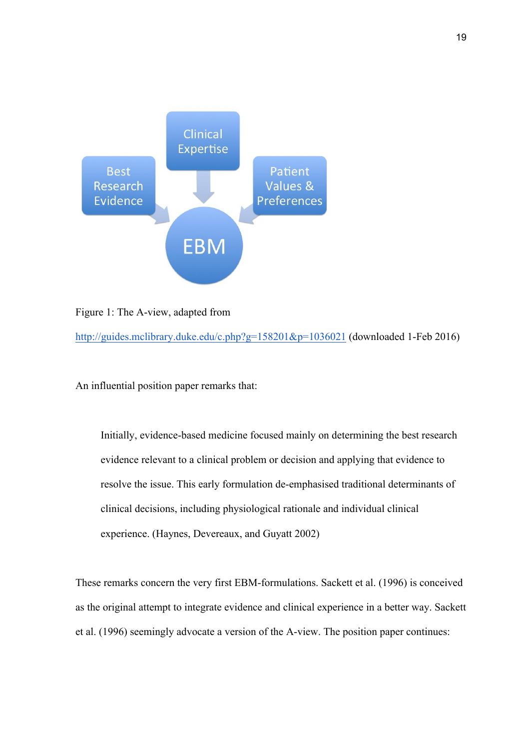

Figure 1: The A-view, adapted from

http://guides.mclibrary.duke.edu/c.php?g=158201&p=1036021 (downloaded 1-Feb 2016)

An influential position paper remarks that:

Initially, evidence-based medicine focused mainly on determining the best research evidence relevant to a clinical problem or decision and applying that evidence to resolve the issue. This early formulation de-emphasised traditional determinants of clinical decisions, including physiological rationale and individual clinical experience. (Haynes, Devereaux, and Guyatt 2002)

These remarks concern the very first EBM-formulations. Sackett et al. (1996) is conceived as the original attempt to integrate evidence and clinical experience in a better way. Sackett et al. (1996) seemingly advocate a version of the A-view. The position paper continues: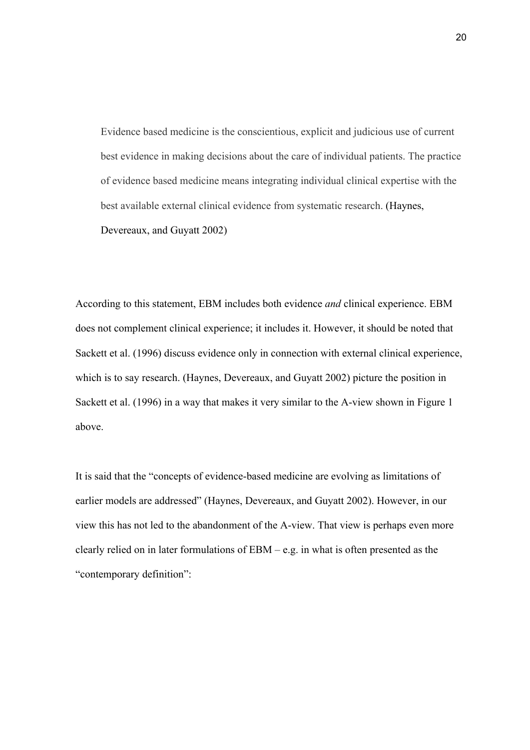Evidence based medicine is the conscientious, explicit and judicious use of current best evidence in making decisions about the care of individual patients. The practice of evidence based medicine means integrating individual clinical expertise with the best available external clinical evidence from systematic research. (Haynes, Devereaux, and Guyatt 2002)

According to this statement, EBM includes both evidence *and* clinical experience. EBM does not complement clinical experience; it includes it. However, it should be noted that Sackett et al. (1996) discuss evidence only in connection with external clinical experience, which is to say research. (Haynes, Devereaux, and Guyatt 2002) picture the position in Sackett et al. (1996) in a way that makes it very similar to the A-view shown in Figure 1 above.

It is said that the "concepts of evidence-based medicine are evolving as limitations of earlier models are addressed" (Haynes, Devereaux, and Guyatt 2002). However, in our view this has not led to the abandonment of the A-view. That view is perhaps even more clearly relied on in later formulations of EBM – e.g. in what is often presented as the "contemporary definition":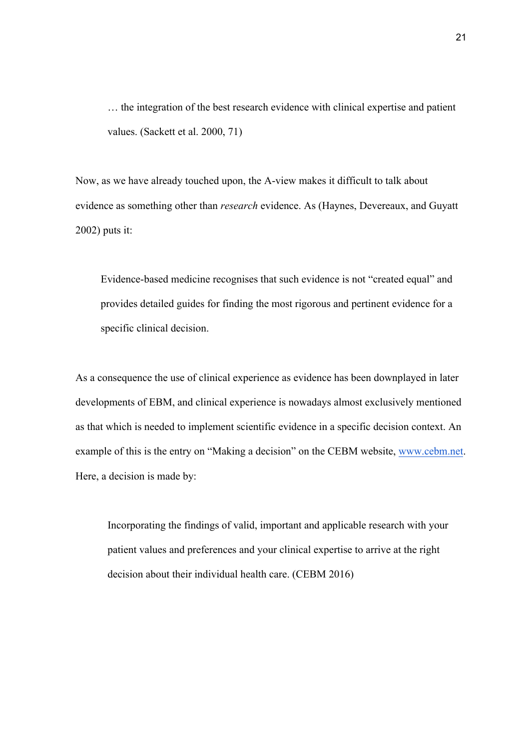… the integration of the best research evidence with clinical expertise and patient values. (Sackett et al. 2000, 71)

Now, as we have already touched upon, the A-view makes it difficult to talk about evidence as something other than *research* evidence. As (Haynes, Devereaux, and Guyatt 2002) puts it:

Evidence-based medicine recognises that such evidence is not "created equal" and provides detailed guides for finding the most rigorous and pertinent evidence for a specific clinical decision.

As a consequence the use of clinical experience as evidence has been downplayed in later developments of EBM, and clinical experience is nowadays almost exclusively mentioned as that which is needed to implement scientific evidence in a specific decision context. An example of this is the entry on "Making a decision" on the CEBM website, www.cebm.net. Here, a decision is made by:

Incorporating the findings of valid, important and applicable research with your patient values and preferences and your clinical expertise to arrive at the right decision about their individual health care. (CEBM 2016)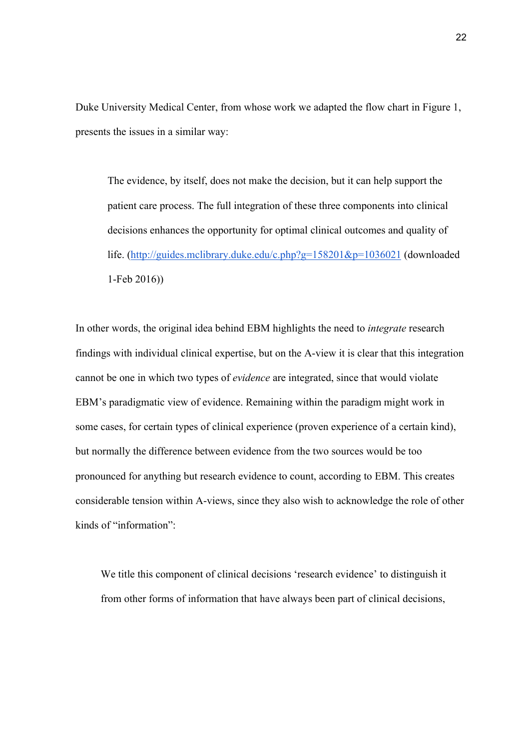Duke University Medical Center, from whose work we adapted the flow chart in Figure 1, presents the issues in a similar way:

The evidence, by itself, does not make the decision, but it can help support the patient care process. The full integration of these three components into clinical decisions enhances the opportunity for optimal clinical outcomes and quality of life. (http://guides.mclibrary.duke.edu/c.php?g=158201&p=1036021 (downloaded 1-Feb 2016))

In other words, the original idea behind EBM highlights the need to *integrate* research findings with individual clinical expertise, but on the A-view it is clear that this integration cannot be one in which two types of *evidence* are integrated, since that would violate EBM's paradigmatic view of evidence. Remaining within the paradigm might work in some cases, for certain types of clinical experience (proven experience of a certain kind), but normally the difference between evidence from the two sources would be too pronounced for anything but research evidence to count, according to EBM. This creates considerable tension within A-views, since they also wish to acknowledge the role of other kinds of "information":

We title this component of clinical decisions 'research evidence' to distinguish it from other forms of information that have always been part of clinical decisions,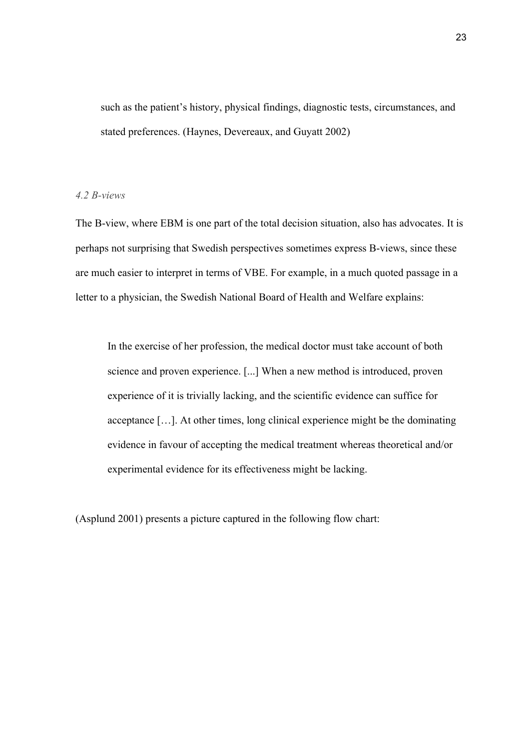such as the patient's history, physical findings, diagnostic tests, circumstances, and stated preferences. (Haynes, Devereaux, and Guyatt 2002)

#### *4.2 B-views*

The B-view, where EBM is one part of the total decision situation, also has advocates. It is perhaps not surprising that Swedish perspectives sometimes express B-views, since these are much easier to interpret in terms of VBE. For example, in a much quoted passage in a letter to a physician, the Swedish National Board of Health and Welfare explains:

In the exercise of her profession, the medical doctor must take account of both science and proven experience. [...] When a new method is introduced, proven experience of it is trivially lacking, and the scientific evidence can suffice for acceptance […]. At other times, long clinical experience might be the dominating evidence in favour of accepting the medical treatment whereas theoretical and/or experimental evidence for its effectiveness might be lacking.

(Asplund 2001) presents a picture captured in the following flow chart: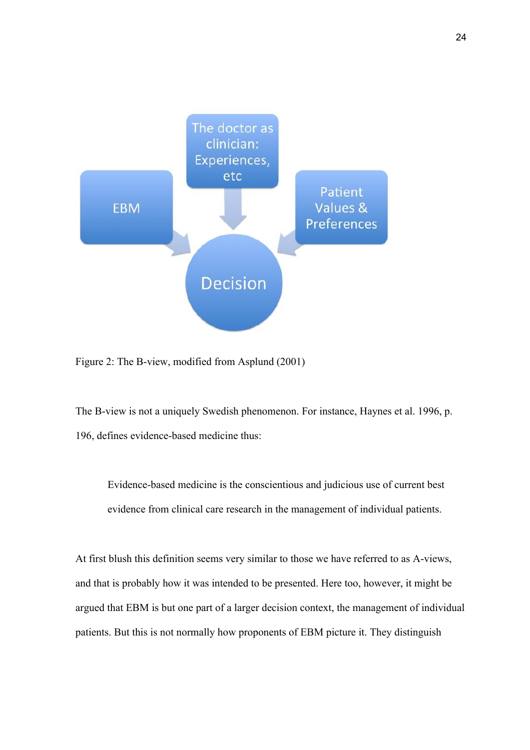

Figure 2: The B-view, modified from Asplund (2001)

The B-view is not a uniquely Swedish phenomenon. For instance, Haynes et al. 1996, p. 196, defines evidence-based medicine thus:

Evidence-based medicine is the conscientious and judicious use of current best evidence from clinical care research in the management of individual patients.

At first blush this definition seems very similar to those we have referred to as A-views, and that is probably how it was intended to be presented. Here too, however, it might be argued that EBM is but one part of a larger decision context, the management of individual patients. But this is not normally how proponents of EBM picture it. They distinguish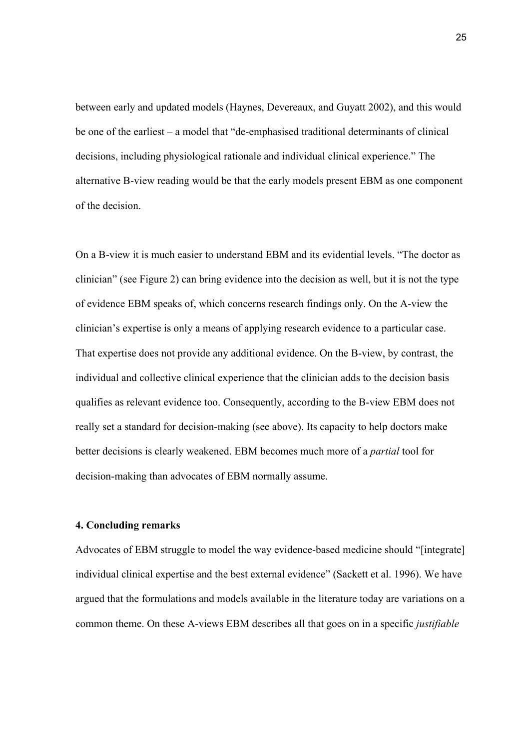between early and updated models (Haynes, Devereaux, and Guyatt 2002), and this would be one of the earliest – a model that "de-emphasised traditional determinants of clinical decisions, including physiological rationale and individual clinical experience." The alternative B-view reading would be that the early models present EBM as one component of the decision.

On a B-view it is much easier to understand EBM and its evidential levels. "The doctor as clinician" (see Figure 2) can bring evidence into the decision as well, but it is not the type of evidence EBM speaks of, which concerns research findings only. On the A-view the clinician's expertise is only a means of applying research evidence to a particular case. That expertise does not provide any additional evidence. On the B-view, by contrast, the individual and collective clinical experience that the clinician adds to the decision basis qualifies as relevant evidence too. Consequently, according to the B-view EBM does not really set a standard for decision-making (see above). Its capacity to help doctors make better decisions is clearly weakened. EBM becomes much more of a *partial* tool for decision-making than advocates of EBM normally assume.

#### **4. Concluding remarks**

Advocates of EBM struggle to model the way evidence-based medicine should "[integrate] individual clinical expertise and the best external evidence" (Sackett et al. 1996). We have argued that the formulations and models available in the literature today are variations on a common theme. On these A-views EBM describes all that goes on in a specific *justifiable*

25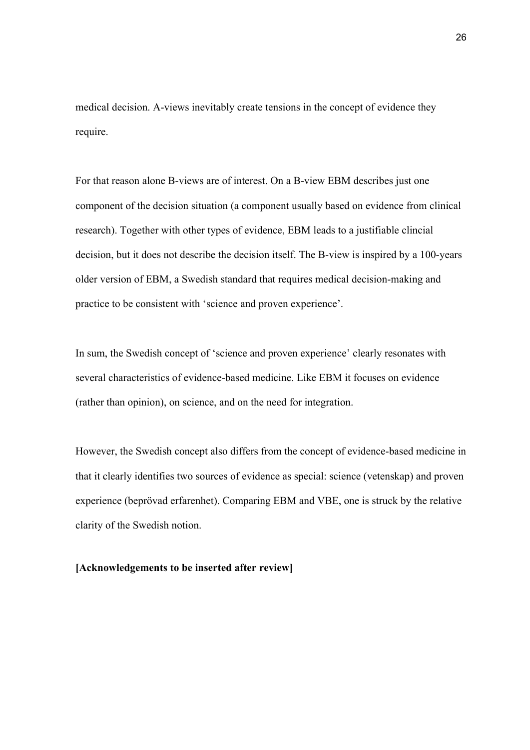medical decision. A-views inevitably create tensions in the concept of evidence they require.

For that reason alone B-views are of interest. On a B-view EBM describes just one component of the decision situation (a component usually based on evidence from clinical research). Together with other types of evidence, EBM leads to a justifiable clincial decision, but it does not describe the decision itself. The B-view is inspired by a 100-years older version of EBM, a Swedish standard that requires medical decision-making and practice to be consistent with 'science and proven experience'.

In sum, the Swedish concept of 'science and proven experience' clearly resonates with several characteristics of evidence-based medicine. Like EBM it focuses on evidence (rather than opinion), on science, and on the need for integration.

However, the Swedish concept also differs from the concept of evidence-based medicine in that it clearly identifies two sources of evidence as special: science (vetenskap) and proven experience (beprövad erfarenhet). Comparing EBM and VBE, one is struck by the relative clarity of the Swedish notion.

#### **[Acknowledgements to be inserted after review]**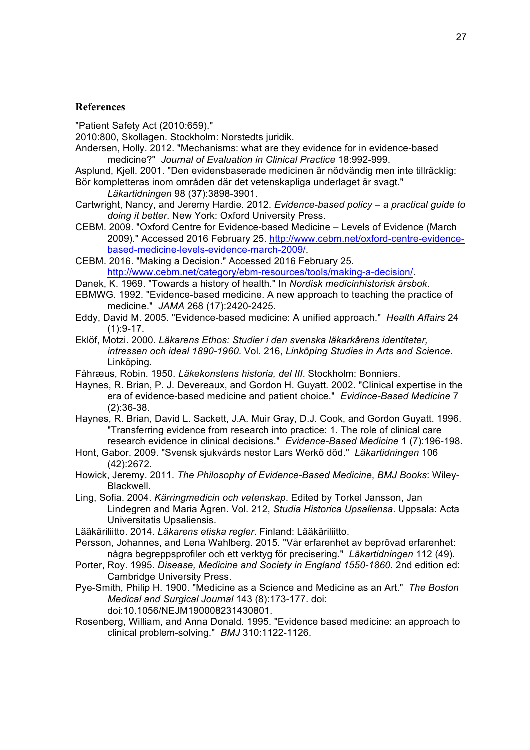#### **References**

"Patient Safety Act (2010:659)."

2010:800, Skollagen. Stockholm: Norstedts juridik.

- Andersen, Holly. 2012. "Mechanisms: what are they evidence for in evidence-based medicine?" *Journal of Evaluation in Clinical Practice* 18:992-999.
- Asplund, Kjell. 2001. "Den evidensbaserade medicinen är nödvändig men inte tillräcklig: Bör kompletteras inom områden där det vetenskapliga underlaget är svagt."
	- *Läkartidningen* 98 (37):3898-3901.
- Cartwright, Nancy, and Jeremy Hardie. 2012. *Evidence-based policy – a practical guide to doing it better*. New York: Oxford University Press.
- CEBM. 2009. "Oxford Centre for Evidence-based Medicine Levels of Evidence (March 2009)." Accessed 2016 February 25. http://www.cebm.net/oxford-centre-evidencebased-medicine-levels-evidence-march-2009/.
- CEBM. 2016. "Making a Decision." Accessed 2016 February 25. http://www.cebm.net/category/ebm-resources/tools/making-a-decision/.
- Danek, K. 1969. "Towards a history of health." In *Nordisk medicinhistorisk årsbok*.
- EBMWG. 1992. "Evidence-based medicine. A new approach to teaching the practice of medicine." *JAMA* 268 (17):2420-2425.
- Eddy, David M. 2005. "Evidence-based medicine: A unified approach." *Health Affairs* 24  $(1):9-17.$
- Eklöf, Motzi. 2000. *Läkarens Ethos: Studier i den svenska läkarkårens identiteter, intressen och ideal 1890-1960*. Vol. 216, *Linköping Studies in Arts and Science*. Linköping.
- Fåhræus, Robin. 1950. *Läkekonstens historia, del III*. Stockholm: Bonniers.
- Haynes, R. Brian, P. J. Devereaux, and Gordon H. Guyatt. 2002. "Clinical expertise in the era of evidence-based medicine and patient choice." *Evidince-Based Medicine* 7 (2):36-38.
- Haynes, R. Brian, David L. Sackett, J.A. Muir Gray, D.J. Cook, and Gordon Guyatt. 1996. "Transferring evidence from research into practice: 1. The role of clinical care research evidence in clinical decisions." *Evidence-Based Medicine* 1 (7):196-198.
- Hont, Gabor. 2009. "Svensk sjukvårds nestor Lars Werkö död." *Läkartidningen* 106 (42):2672.
- Howick, Jeremy. 2011. *The Philosophy of Evidence-Based Medicine*, *BMJ Books*: Wiley-Blackwell.
- Ling, Sofia. 2004. *Kärringmedicin och vetenskap*. Edited by Torkel Jansson, Jan Lindegren and Maria Ågren. Vol. 212, *Studia Historica Upsaliensa*. Uppsala: Acta Universitatis Upsaliensis.
- Lääkäriliitto. 2014. *Läkarens etiska regler*. Finland: Lääkäriliitto.
- Persson, Johannes, and Lena Wahlberg. 2015. "Vår erfarenhet av beprövad erfarenhet: några begreppsprofiler och ett verktyg för precisering." *Läkartidningen* 112 (49).
- Porter, Roy. 1995. *Disease, Medicine and Society in England 1550-1860*. 2nd edition ed: Cambridge University Press.
- Pye-Smith, Philip H. 1900. "Medicine as a Science and Medicine as an Art." *The Boston Medical and Surgical Journal* 143 (8):173-177. doi: doi:10.1056/NEJM190008231430801.
- Rosenberg, William, and Anna Donald. 1995. "Evidence based medicine: an approach to clinical problem-solving." *BMJ* 310:1122-1126.